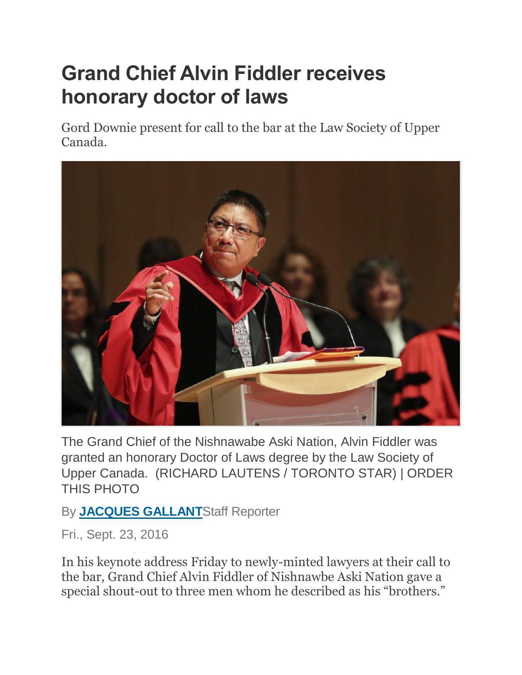## **Grand Chief Alvin Fiddler receives honorary doctor of laws**

Gord Downie present for call to the bar at the Law Society of Upper Canada.



The Grand Chief of the Nishnawabe Aski Nation, Alvin Fiddler was granted an honorary Doctor of Laws degree by the Law Society of Upper Canada. (RICHARD LAUTENS / TORONTO STAR) | ORDER THIS PHOTO

## By **[JACQUES GALLANT](https://www.thestar.com/authors.gallant_jacques.html)**Staff Reporter

Fri., Sept. 23, 2016

In his keynote address Friday to newly-minted lawyers at their call to the bar, Grand Chief Alvin Fiddler of Nishnawbe Aski Nation gave a special shout-out to three men whom he described as his "brothers."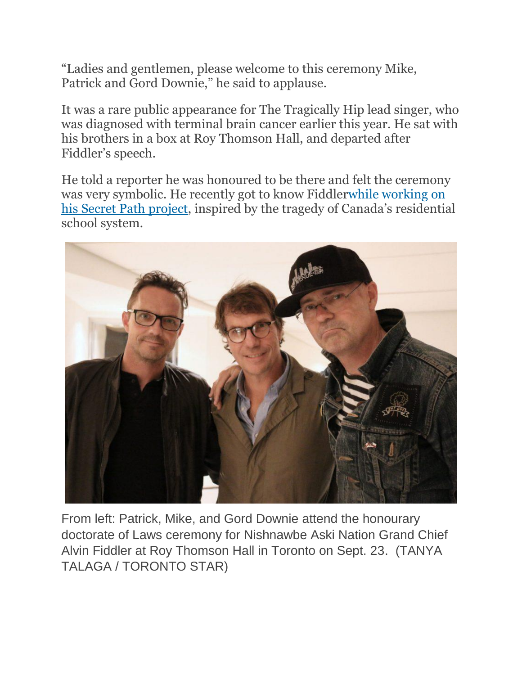"Ladies and gentlemen, please welcome to this ceremony Mike, Patrick and Gord Downie," he said to applause.

It was a rare public appearance for The Tragically Hip lead singer, who was diagnosed with terminal brain cancer earlier this year. He sat with his brothers in a box at Roy Thomson Hall, and departed after Fiddler's speech.

He told a reporter he was honoured to be there and felt the ceremony was very symbolic. He recently got to know Fiddle[rwhile working on](https://www.thestar.com/entertainment/music/2016/09/11/the-flight-of-chanie-wenjack-the-boy-who-inspired-gord-downies-new-album.html)  [his Secret Path project](https://www.thestar.com/entertainment/music/2016/09/11/the-flight-of-chanie-wenjack-the-boy-who-inspired-gord-downies-new-album.html), inspired by the tragedy of Canada's residential school system.



From left: Patrick, Mike, and Gord Downie attend the honourary doctorate of Laws ceremony for Nishnawbe Aski Nation Grand Chief Alvin Fiddler at Roy Thomson Hall in Toronto on Sept. 23. (TANYA TALAGA / TORONTO STAR)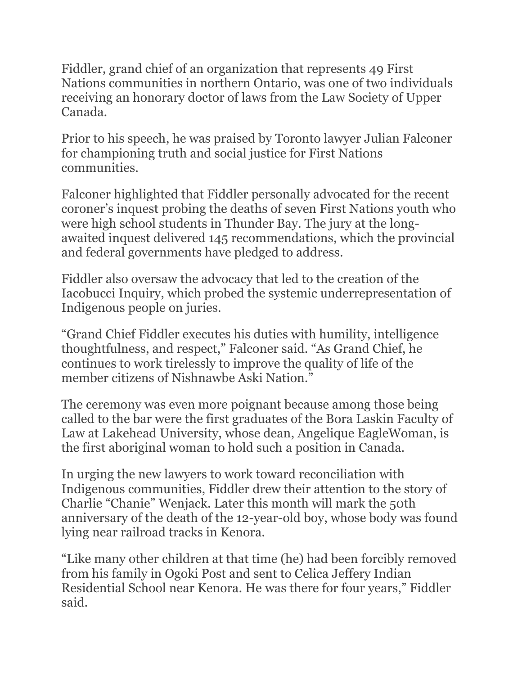Fiddler, grand chief of an organization that represents 49 First Nations communities in northern Ontario, was one of two individuals receiving an honorary doctor of laws from the Law Society of Upper Canada.

Prior to his speech, he was praised by Toronto lawyer Julian Falconer for championing truth and social justice for First Nations communities.

Falconer highlighted that Fiddler personally advocated for the recent coroner's inquest probing the deaths of seven First Nations youth who were high school students in Thunder Bay. The jury at the longawaited inquest delivered 145 recommendations, which the provincial and federal governments have pledged to address.

Fiddler also oversaw the advocacy that led to the creation of the Iacobucci Inquiry, which probed the systemic underrepresentation of Indigenous people on juries.

"Grand Chief Fiddler executes his duties with humility, intelligence thoughtfulness, and respect," Falconer said. "As Grand Chief, he continues to work tirelessly to improve the quality of life of the member citizens of Nishnawbe Aski Nation."

The ceremony was even more poignant because among those being called to the bar were the first graduates of the Bora Laskin Faculty of Law at Lakehead University, whose dean, Angelique EagleWoman, is the first aboriginal woman to hold such a position in Canada.

In urging the new lawyers to work toward reconciliation with Indigenous communities, Fiddler drew their attention to the story of Charlie "Chanie" Wenjack. Later this month will mark the 50th anniversary of the death of the 12-year-old boy, whose body was found lying near railroad tracks in Kenora.

"Like many other children at that time (he) had been forcibly removed from his family in Ogoki Post and sent to Celica Jeffery Indian Residential School near Kenora. He was there for four years," Fiddler said.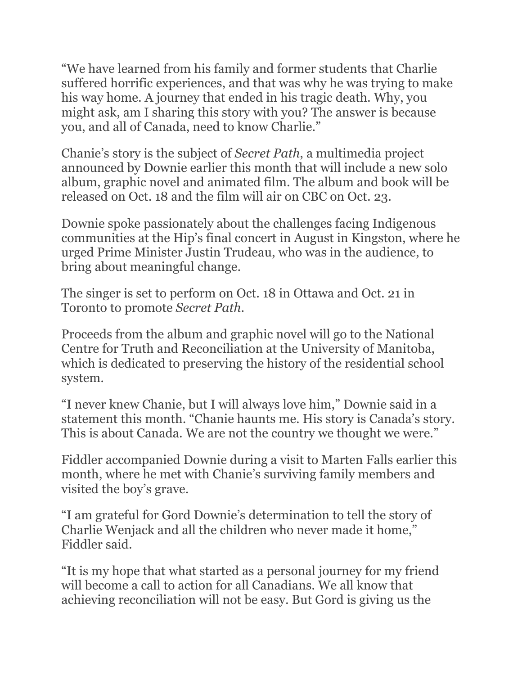"We have learned from his family and former students that Charlie suffered horrific experiences, and that was why he was trying to make his way home. A journey that ended in his tragic death. Why, you might ask, am I sharing this story with you? The answer is because you, and all of Canada, need to know Charlie."

Chanie's story is the subject of *Secret Path*, a multimedia project announced by Downie earlier this month that will include a new solo album, graphic novel and animated film. The album and book will be released on Oct. 18 and the film will air on CBC on Oct. 23.

Downie spoke passionately about the challenges facing Indigenous communities at the Hip's final concert in August in Kingston, where he urged Prime Minister Justin Trudeau, who was in the audience, to bring about meaningful change.

The singer is set to perform on Oct. 18 in Ottawa and Oct. 21 in Toronto to promote *Secret Path*.

Proceeds from the album and graphic novel will go to the National Centre for Truth and Reconciliation at the University of Manitoba, which is dedicated to preserving the history of the residential school system.

"I never knew Chanie, but I will always love him," Downie said in a statement this month. "Chanie haunts me. His story is Canada's story. This is about Canada. We are not the country we thought we were."

Fiddler accompanied Downie during a visit to Marten Falls earlier this month, where he met with Chanie's surviving family members and visited the boy's grave.

"I am grateful for Gord Downie's determination to tell the story of Charlie Wenjack and all the children who never made it home," Fiddler said.

"It is my hope that what started as a personal journey for my friend will become a call to action for all Canadians. We all know that achieving reconciliation will not be easy. But Gord is giving us the